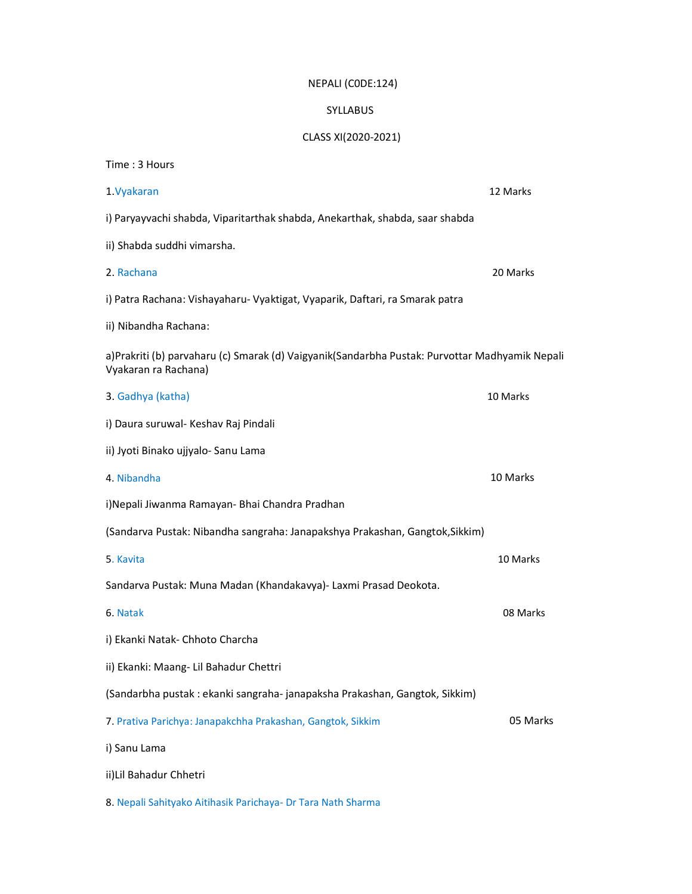## NEPALI (C0DE:124)

## SYLLABUS

## CLASS XI(2020-2021)

| Time: 3 Hours                                                                                                          |          |
|------------------------------------------------------------------------------------------------------------------------|----------|
| 1. Vyakaran                                                                                                            | 12 Marks |
| i) Paryayvachi shabda, Viparitarthak shabda, Anekarthak, shabda, saar shabda                                           |          |
| ii) Shabda suddhi vimarsha.                                                                                            |          |
| 2. Rachana                                                                                                             | 20 Marks |
| i) Patra Rachana: Vishayaharu- Vyaktigat, Vyaparik, Daftari, ra Smarak patra                                           |          |
| ii) Nibandha Rachana:                                                                                                  |          |
| a)Prakriti (b) parvaharu (c) Smarak (d) Vaigyanik(Sandarbha Pustak: Purvottar Madhyamik Nepali<br>Vyakaran ra Rachana) |          |
| 3. Gadhya (katha)                                                                                                      | 10 Marks |
| i) Daura suruwal- Keshav Raj Pindali                                                                                   |          |
| ii) Jyoti Binako ujjyalo- Sanu Lama                                                                                    |          |
| 4. Nibandha                                                                                                            | 10 Marks |
| i)Nepali Jiwanma Ramayan- Bhai Chandra Pradhan                                                                         |          |
| (Sandarva Pustak: Nibandha sangraha: Janapakshya Prakashan, Gangtok, Sikkim)                                           |          |
| 5. Kavita                                                                                                              | 10 Marks |
| Sandarva Pustak: Muna Madan (Khandakavya)- Laxmi Prasad Deokota.                                                       |          |
| 6. Natak                                                                                                               | 08 Marks |
| i) Ekanki Natak- Chhoto Charcha                                                                                        |          |
| ii) Ekanki: Maang- Lil Bahadur Chettri                                                                                 |          |
| (Sandarbha pustak : ekanki sangraha- janapaksha Prakashan, Gangtok, Sikkim)                                            |          |
| 7. Prativa Parichya: Janapakchha Prakashan, Gangtok, Sikkim                                                            | 05 Marks |
| i) Sanu Lama                                                                                                           |          |
| ii) Lil Bahadur Chhetri                                                                                                |          |
| 8. Nepali Sahityako Aitihasik Parichaya- Dr Tara Nath Sharma                                                           |          |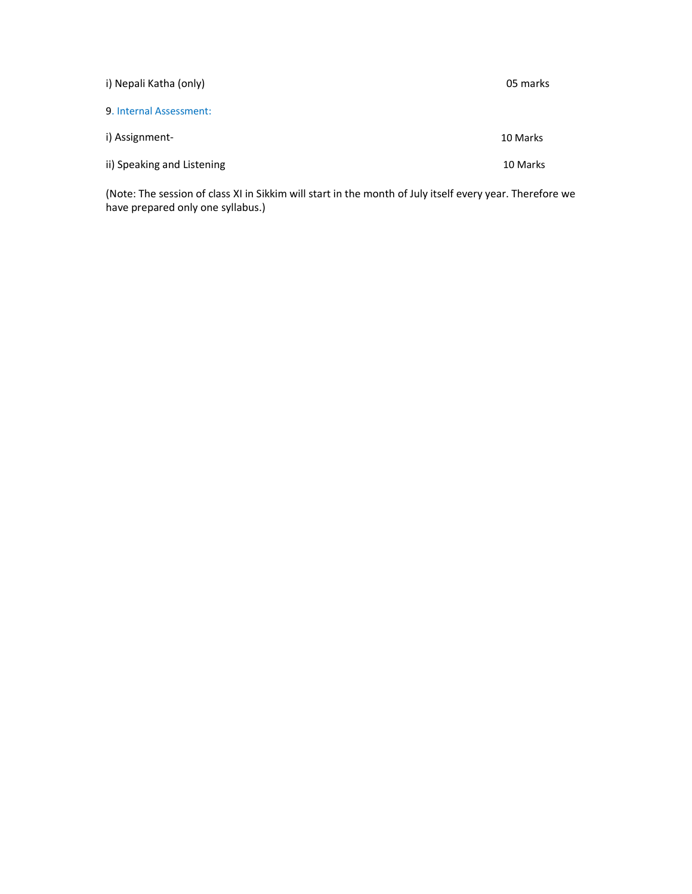| i) Nepali Katha (only)     | 05 marks |
|----------------------------|----------|
| 9. Internal Assessment:    |          |
| i) Assignment-             | 10 Marks |
| ii) Speaking and Listening | 10 Marks |

(Note: The session of class XI in Sikkim will start in the month of July itself every year. Therefore we have prepared only one syllabus.)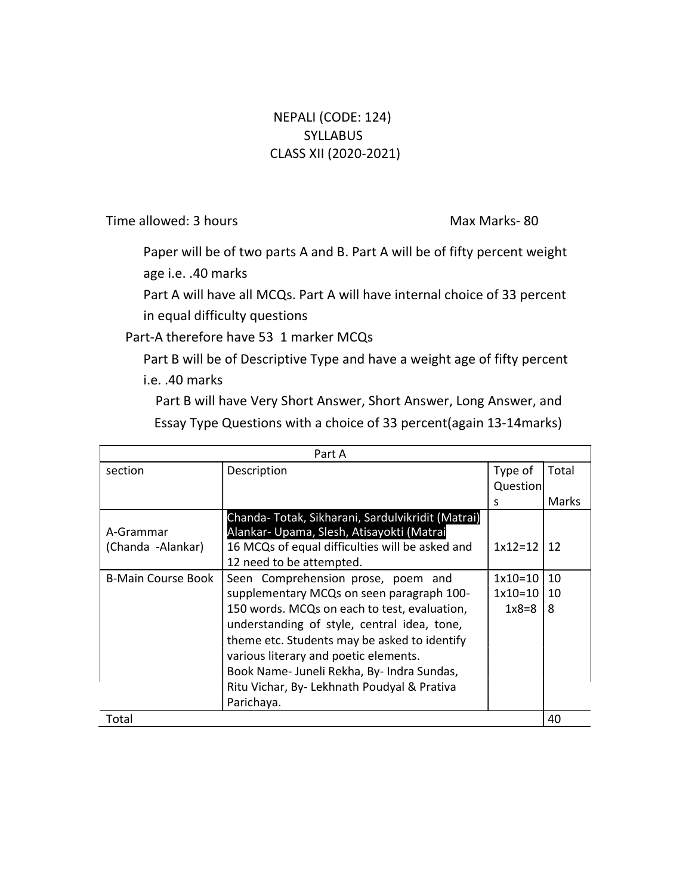## NEPALI (CODE: 124) **SYLLABUS** CLASS XII (2020-2021)

Time allowed: 3 hours Max Max Marks- 80

Paper will be of two parts A and B. Part A will be of fifty percent weight age i.e. .40 marks

Part A will have all MCQs. Part A will have internal choice of 33 percent in equal difficulty questions

Part-A therefore have 53 1 marker MCQs

Part B will be of Descriptive Type and have a weight age of fifty percent i.e. .40 marks

Part B will have Very Short Answer, Short Answer, Long Answer, and Essay Type Questions with a choice of 33 percent(again 13-14marks)

| Part A                         |                                                                                                                                                                                                                                                                                                                                                                                    |                                   |               |  |
|--------------------------------|------------------------------------------------------------------------------------------------------------------------------------------------------------------------------------------------------------------------------------------------------------------------------------------------------------------------------------------------------------------------------------|-----------------------------------|---------------|--|
| section                        | Description                                                                                                                                                                                                                                                                                                                                                                        | Type of                           | Total         |  |
|                                |                                                                                                                                                                                                                                                                                                                                                                                    | Question                          |               |  |
|                                |                                                                                                                                                                                                                                                                                                                                                                                    | S                                 | <b>Marks</b>  |  |
| A-Grammar<br>(Chanda -Alankar) | Chanda-Totak, Sikharani, Sardulvikridit (Matrai)<br>Alankar- Upama, Slesh, Atisayokti (Matrai<br>16 MCQs of equal difficulties will be asked and<br>12 need to be attempted.                                                                                                                                                                                                       | $1x12=12$                         | 12            |  |
| <b>B-Main Course Book</b>      | Seen Comprehension prose, poem and<br>supplementary MCQs on seen paragraph 100-<br>150 words. MCQs on each to test, evaluation,<br>understanding of style, central idea, tone,<br>theme etc. Students may be asked to identify<br>various literary and poetic elements.<br>Book Name- Juneli Rekha, By- Indra Sundas,<br>Ritu Vichar, By- Lekhnath Poudyal & Prativa<br>Parichaya. | $1x10=10$<br>$1x10=10$<br>$1x8=8$ | 10<br>10<br>8 |  |
| Total                          |                                                                                                                                                                                                                                                                                                                                                                                    |                                   | 40            |  |